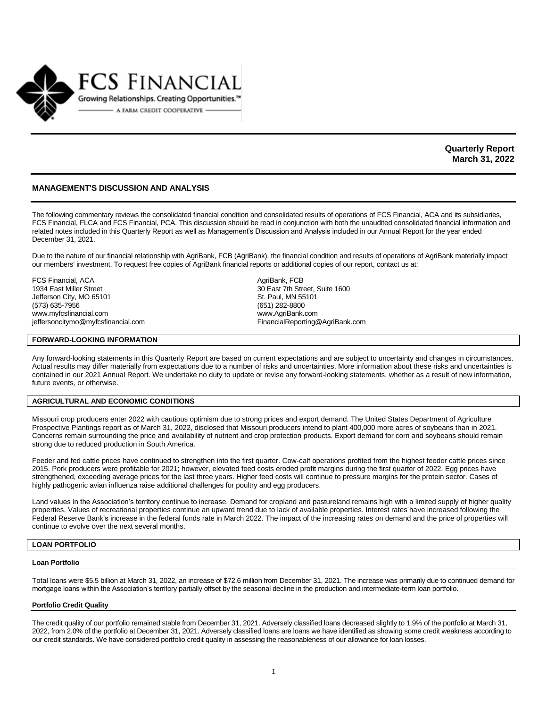

**Quarterly Report March 31, 2022**

## **MANAGEMENT'S DISCUSSION AND ANALYSIS**

The following commentary reviews the consolidated financial condition and consolidated results of operations of FCS Financial, ACA and its subsidiaries, FCS Financial, FLCA and FCS Financial, PCA. This discussion should be read in conjunction with both the unaudited consolidated financial information and related notes included in this Quarterly Report as well as Management's Discussion and Analysis included in our Annual Report for the year ended December 31, 2021.

Due to the nature of our financial relationship with AgriBank, FCB (AgriBank), the financial condition and results of operations of AgriBank materially impact our members' investment. To request free copies of AgriBank financial reports or additional copies of our report, contact us at:

FCS Financial, ACA <br>1934 East Miller Street **Agrif Street 1934** East 7th Street Jefferson City, MO 65101 St. Paul, MN 55101 (573) 635-7956 (651) 282-8800 www.myfcsfinancial.com

## **FORWARD-LOOKING INFORMATION**

jeffersoncitymo@myfcsfinancial.com example and the example of FinancialReporting@AgriBank.com

30 East 7th Street, Suite 1600

Any forward-looking statements in this Quarterly Report are based on current expectations and are subject to uncertainty and changes in circumstances. Actual results may differ materially from expectations due to a number of risks and uncertainties. More information about these risks and uncertainties is contained in our 2021 Annual Report. We undertake no duty to update or revise any forward-looking statements, whether as a result of new information, future events, or otherwise.

### **AGRICULTURAL AND ECONOMIC CONDITIONS**

Missouri crop producers enter 2022 with cautious optimism due to strong prices and export demand. The United States Department of Agriculture Prospective Plantings report as of March 31, 2022, disclosed that Missouri producers intend to plant 400,000 more acres of soybeans than in 2021. Concerns remain surrounding the price and availability of nutrient and crop protection products. Export demand for corn and soybeans should remain strong due to reduced production in South America.

Feeder and fed cattle prices have continued to strengthen into the first quarter. Cow-calf operations profited from the highest feeder cattle prices since 2015. Pork producers were profitable for 2021; however, elevated feed costs eroded profit margins during the first quarter of 2022. Egg prices have strengthened, exceeding average prices for the last three years. Higher feed costs will continue to pressure margins for the protein sector. Cases of highly pathogenic avian influenza raise additional challenges for poultry and egg producers.

Land values in the Association's territory continue to increase. Demand for cropland and pastureland remains high with a limited supply of higher quality properties. Values of recreational properties continue an upward trend due to lack of available properties. Interest rates have increased following the Federal Reserve Bank's increase in the federal funds rate in March 2022. The impact of the increasing rates on demand and the price of properties will continue to evolve over the next several months.

## **LOAN PORTFOLIO**

### **Loan Portfolio**

Total loans were \$5.5 billion at March 31, 2022, an increase of \$72.6 million from December 31, 2021. The increase was primarily due to continued demand for mortgage loans within the Association's territory partially offset by the seasonal decline in the production and intermediate-term loan portfolio.

### **Portfolio Credit Quality**

The credit quality of our portfolio remained stable from December 31, 2021. Adversely classified loans decreased slightly to 1.9% of the portfolio at March 31, 2022, from 2.0% of the portfolio at December 31, 2021. Adversely classified loans are loans we have identified as showing some credit weakness according to our credit standards. We have considered portfolio credit quality in assessing the reasonableness of our allowance for loan losses.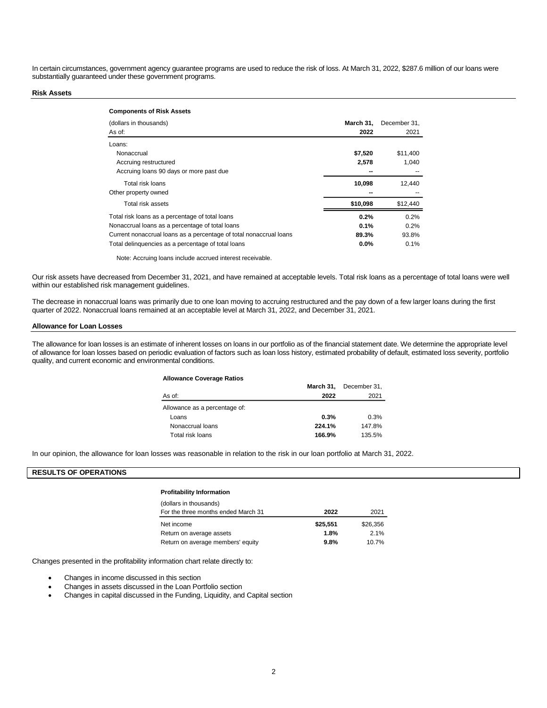In certain circumstances, government agency guarantee programs are used to reduce the risk of loss. At March 31, 2022, \$287.6 million of our loans were substantially guaranteed under these government programs.

### **Risk Assets**

| <b>Components of Risk Assets</b>                                   |           |              |
|--------------------------------------------------------------------|-----------|--------------|
| (dollars in thousands)                                             | March 31. | December 31, |
| As of:                                                             | 2022      | 2021         |
| Loans:                                                             |           |              |
| Nonaccrual                                                         | \$7,520   | \$11,400     |
| Accruing restructured                                              | 2,578     | 1.040        |
| Accruing loans 90 days or more past due                            |           |              |
| Total risk loans                                                   | 10,098    | 12.440       |
| Other property owned                                               |           |              |
| Total risk assets                                                  | \$10,098  | \$12,440     |
| Total risk loans as a percentage of total loans                    | 0.2%      | 0.2%         |
| Nonaccrual loans as a percentage of total loans                    | 0.1%      | 0.2%         |
| Current nonaccrual loans as a percentage of total nonaccrual loans | 89.3%     | 93.8%        |
| Total delinguencies as a percentage of total loans                 | $0.0\%$   | 0.1%         |

Note: Accruing loans include accrued interest receivable.

Our risk assets have decreased from December 31, 2021, and have remained at acceptable levels. Total risk loans as a percentage of total loans were well within our established risk management guidelines.

The decrease in nonaccrual loans was primarily due to one loan moving to accruing restructured and the pay down of a few larger loans during the first quarter of 2022. Nonaccrual loans remained at an acceptable level at March 31, 2022, and December 31, 2021.

## **Allowance for Loan Losses**

The allowance for loan losses is an estimate of inherent losses on loans in our portfolio as of the financial statement date. We determine the appropriate level of allowance for loan losses based on periodic evaluation of factors such as loan loss history, estimated probability of default, estimated loss severity, portfolio quality, and current economic and environmental conditions.

### **Allowance Coverage Ratios**

|                               | March 31, | December 31, |
|-------------------------------|-----------|--------------|
| As of:                        | 2022      | 2021         |
| Allowance as a percentage of: |           |              |
| Loans                         | 0.3%      | 0.3%         |
| Nonaccrual loans              | 224.1%    | 147.8%       |
| Total risk loans              | 166.9%    | 135.5%       |

In our opinion, the allowance for loan losses was reasonable in relation to the risk in our loan portfolio at March 31, 2022.

## **RESULTS OF OPERATIONS**

## **Profitability Information**

| (dollars in thousands)              |          |          |
|-------------------------------------|----------|----------|
| For the three months ended March 31 | 2022     | 2021     |
| Net income                          | \$25.551 | \$26,356 |
| Return on average assets            | 1.8%     | 2.1%     |
| Return on average members' equity   | 9.8%     | 10.7%    |

Changes presented in the profitability information chart relate directly to:

- Changes in income discussed in this section
- Changes in assets discussed in the Loan Portfolio section
- Changes in capital discussed in the Funding, Liquidity, and Capital section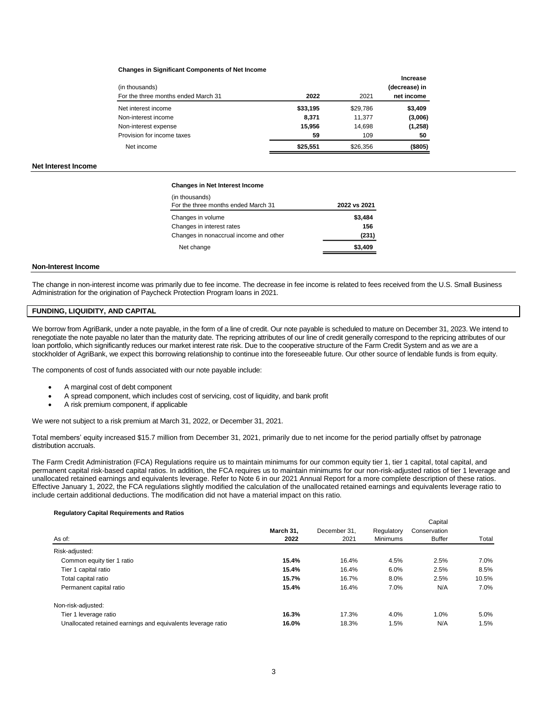### **Changes in Significant Components of Net Income**

| (in thousands)<br>For the three months ended March 31 | 2022     | 2021     | Increase<br>(decrease) in<br>net income |
|-------------------------------------------------------|----------|----------|-----------------------------------------|
| Net interest income                                   | \$33,195 | \$29,786 | \$3,409                                 |
| Non-interest income                                   | 8,371    | 11.377   | (3,006)                                 |
| Non-interest expense                                  | 15,956   | 14,698   | (1,258)                                 |
| Provision for income taxes                            | 59       | 109      | 50                                      |
| Net income                                            | \$25,551 | \$26,356 | (\$805)                                 |

### **Net Interest Income**

#### **Changes in Net Interest Income**

| (in thousands)                         |              |
|----------------------------------------|--------------|
| For the three months ended March 31    | 2022 vs 2021 |
| Changes in volume                      | \$3,484      |
| Changes in interest rates              | 156          |
| Changes in nonaccrual income and other | (231)        |
| Net change                             | \$3.409      |
|                                        |              |

#### **Non-Interest Income**

The change in non-interest income was primarily due to fee income. The decrease in fee income is related to fees received from the U.S. Small Business Administration for the origination of Paycheck Protection Program loans in 2021.

## **FUNDING, LIQUIDITY, AND CAPITAL**

We borrow from AgriBank, under a note payable, in the form of a line of credit. Our note payable is scheduled to mature on December 31, 2023. We intend to renegotiate the note payable no later than the maturity date. The repricing attributes of our line of credit generally correspond to the repricing attributes of our loan portfolio, which significantly reduces our market interest rate risk. Due to the cooperative structure of the Farm Credit System and as we are a stockholder of AgriBank, we expect this borrowing relationship to continue into the foreseeable future. Our other source of lendable funds is from equity.

The components of cost of funds associated with our note payable include:

- A marginal cost of debt component
- A spread component, which includes cost of servicing, cost of liquidity, and bank profit
- A risk premium component, if applicable

We were not subject to a risk premium at March 31, 2022, or December 31, 2021.

Total members' equity increased \$15.7 million from December 31, 2021, primarily due to net income for the period partially offset by patronage distribution accruals.

The Farm Credit Administration (FCA) Regulations require us to maintain minimums for our common equity tier 1, tier 1 capital, total capital, and permanent capital risk-based capital ratios. In addition, the FCA requires us to maintain minimums for our non-risk-adjusted ratios of tier 1 leverage and unallocated retained earnings and equivalents leverage. Refer to Note 6 in our 2021 Annual Report for a more complete description of these ratios. Effective January 1, 2022, the FCA regulations slightly modified the calculation of the unallocated retained earnings and equivalents leverage ratio to include certain additional deductions. The modification did not have a material impact on this ratio.

Capital

### **Regulatory Capital Requirements and Ratios**

|                                                              |           |              |                 | Gapilial      |       |
|--------------------------------------------------------------|-----------|--------------|-----------------|---------------|-------|
|                                                              | March 31. | December 31. | Regulatory      | Conservation  |       |
| As of:                                                       | 2022      | 2021         | <b>Minimums</b> | <b>Buffer</b> | Total |
| Risk-adjusted:                                               |           |              |                 |               |       |
| Common equity tier 1 ratio                                   | 15.4%     | 16.4%        | 4.5%            | 2.5%          | 7.0%  |
| Tier 1 capital ratio                                         | 15.4%     | 16.4%        | 6.0%            | 2.5%          | 8.5%  |
| Total capital ratio                                          | 15.7%     | 16.7%        | 8.0%            | 2.5%          | 10.5% |
| Permanent capital ratio                                      | 15.4%     | 16.4%        | 7.0%            | N/A           | 7.0%  |
| Non-risk-adjusted:                                           |           |              |                 |               |       |
| Tier 1 leverage ratio                                        | 16.3%     | 17.3%        | 4.0%            | 1.0%          | 5.0%  |
| Unallocated retained earnings and equivalents leverage ratio | 16.0%     | 18.3%        | 1.5%            | N/A           | 1.5%  |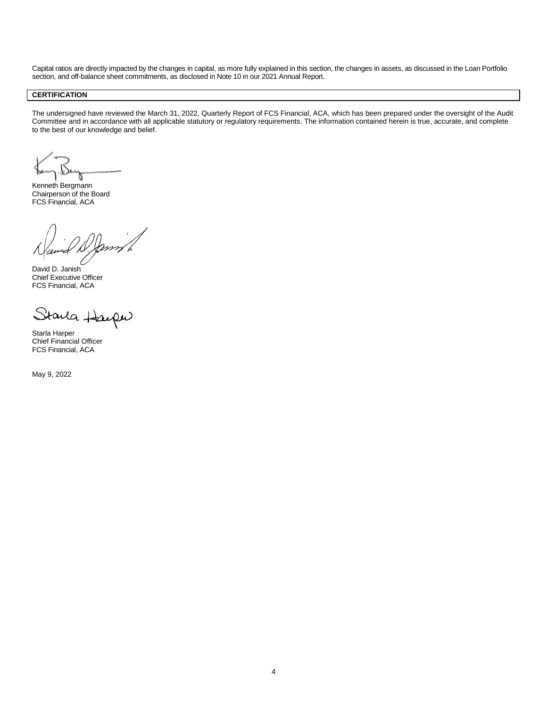Capital ratios are directly impacted by the changes in capital, as more fully explained in this section, the changes in assets, as discussed in the Loan Portfolio section, and off-balance sheet commitments, as disclosed in Note 10 in our 2021 Annual Report.

## **CERTIFICATION**

The undersigned have reviewed the March 31, 2022, Quarterly Report of FCS Financial, ACA, which has been prepared under the oversight of the Audit Committee and in accordance with all applicable statutory or regulatory requirements. The information contained herein is true, accurate, and complete to the best of our knowledge and belief.

Kenneth Bergmann Chairperson of the Board FCS Financial, ACA

David D. Janish Chief Executive Officer FCS Financial, ACA

Starla Hac  $\alpha\omega$ 

Starla Harper Chief Financial Officer FCS Financial, ACA

May 9, 2022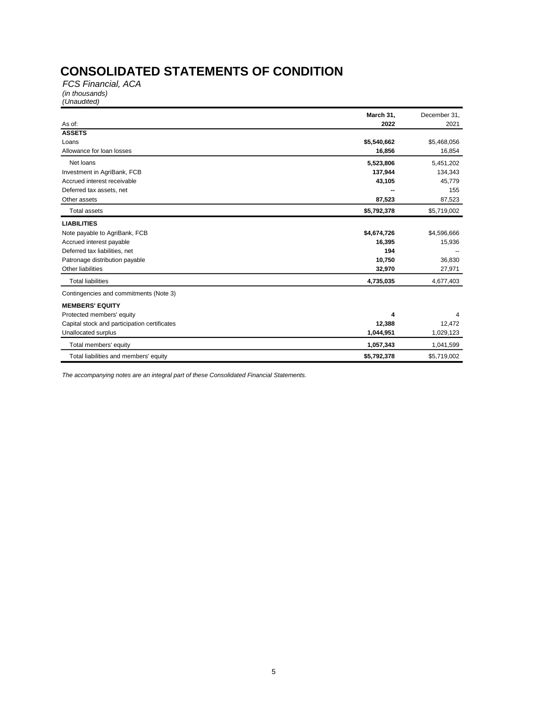# **CONSOLIDATED STATEMENTS OF CONDITION**

*FCS Financial, ACA (in thousands) (Unaudited)*

|                                              | March 31,   | December 31, |
|----------------------------------------------|-------------|--------------|
| As of:                                       | 2022        | 2021         |
| <b>ASSETS</b>                                |             |              |
| Loans                                        | \$5,540,662 | \$5,468,056  |
| Allowance for loan losses                    | 16,856      | 16,854       |
| Net loans                                    | 5,523,806   | 5,451,202    |
| Investment in AgriBank, FCB                  | 137,944     | 134,343      |
| Accrued interest receivable                  | 43,105      | 45,779       |
| Deferred tax assets, net                     |             | 155          |
| Other assets                                 | 87,523      | 87,523       |
| <b>Total assets</b>                          | \$5,792,378 | \$5,719,002  |
| <b>LIABILITIES</b>                           |             |              |
| Note payable to AgriBank, FCB                | \$4,674,726 | \$4,596,666  |
| Accrued interest payable                     | 16,395      | 15,936       |
| Deferred tax liabilities, net                | 194         |              |
| Patronage distribution payable               | 10,750      | 36,830       |
| Other liabilities                            | 32,970      | 27,971       |
| <b>Total liabilities</b>                     | 4,735,035   | 4,677,403    |
| Contingencies and commitments (Note 3)       |             |              |
| <b>MEMBERS' EQUITY</b>                       |             |              |
| Protected members' equity                    | 4           |              |
| Capital stock and participation certificates | 12,388      | 12,472       |
| Unallocated surplus                          | 1,044,951   | 1,029,123    |
| Total members' equity                        | 1,057,343   | 1,041,599    |
| Total liabilities and members' equity        | \$5,792,378 | \$5,719,002  |

*The accompanying notes are an integral part of these Consolidated Financial Statements.*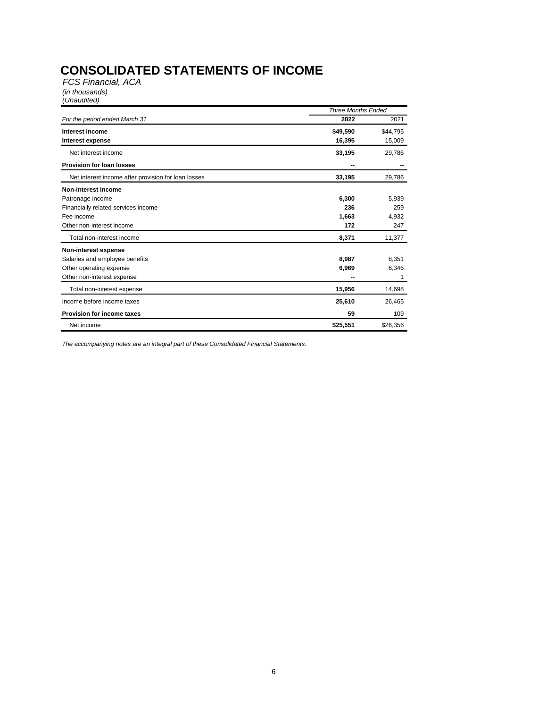# **CONSOLIDATED STATEMENTS OF INCOME**

*FCS Financial, ACA (in thousands) (Unaudited)*

|                                                     | <b>Three Months Ended</b> |          |
|-----------------------------------------------------|---------------------------|----------|
| For the period ended March 31                       | 2022                      | 2021     |
| Interest income                                     | \$49,590                  | \$44,795 |
| Interest expense                                    | 16,395                    | 15,009   |
| Net interest income                                 | 33,195                    | 29,786   |
| <b>Provision for loan losses</b>                    | --                        |          |
| Net interest income after provision for loan losses | 33,195                    | 29,786   |
| Non-interest income                                 |                           |          |
| Patronage income                                    | 6,300                     | 5,939    |
| Financially related services income                 | 236                       | 259      |
| Fee income                                          | 1,663                     | 4,932    |
| Other non-interest income                           | 172                       | 247      |
| Total non-interest income                           | 8,371                     | 11,377   |
| Non-interest expense                                |                           |          |
| Salaries and employee benefits                      | 8.987                     | 8,351    |
| Other operating expense                             | 6,969                     | 6,346    |
| Other non-interest expense                          |                           |          |
| Total non-interest expense                          | 15,956                    | 14,698   |
| Income before income taxes                          | 25,610                    | 26,465   |
| <b>Provision for income taxes</b>                   | 59                        | 109      |
| Net income                                          | \$25,551                  | \$26,356 |

*The accompanying notes are an integral part of these Consolidated Financial Statements.*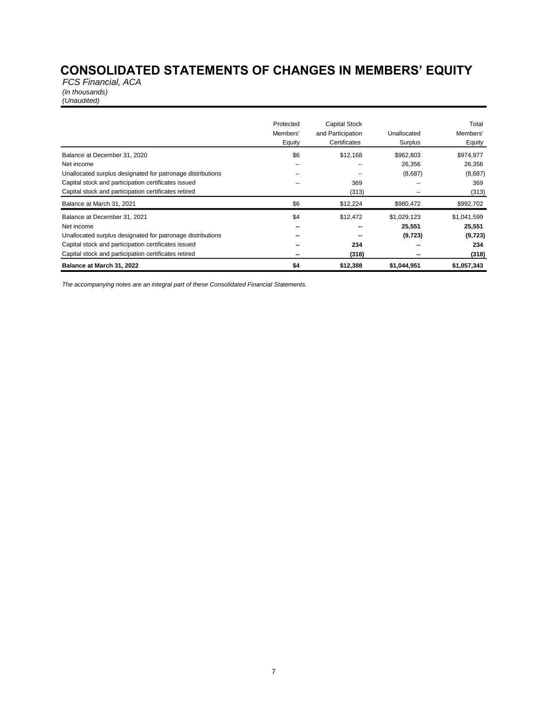# **CONSOLIDATED STATEMENTS OF CHANGES IN MEMBERS' EQUITY**

*FCS Financial, ACA (in thousands) (Unaudited)*

|                                                            | Protected<br>Members'<br>Equity | <b>Capital Stock</b><br>and Participation<br>Certificates | Unallocated<br>Surplus | Total<br>Members'<br>Equity |
|------------------------------------------------------------|---------------------------------|-----------------------------------------------------------|------------------------|-----------------------------|
| Balance at December 31, 2020                               | \$6                             | \$12,168                                                  | \$962,803              | \$974,977                   |
| Net income                                                 | --                              | $\overline{\phantom{a}}$                                  | 26,356                 | 26,356                      |
| Unallocated surplus designated for patronage distributions | --                              |                                                           | (8,687)                | (8,687)                     |
| Capital stock and participation certificates issued        | --                              | 369                                                       |                        | 369                         |
| Capital stock and participation certificates retired       |                                 | (313)                                                     | --                     | (313)                       |
| Balance at March 31, 2021                                  | \$6                             | \$12,224                                                  | \$980,472              | \$992,702                   |
| Balance at December 31, 2021                               | \$4                             | \$12,472                                                  | \$1,029,123            | \$1,041,599                 |
| Net income                                                 | --                              | --                                                        | 25,551                 | 25,551                      |
| Unallocated surplus designated for patronage distributions | --                              |                                                           | (9, 723)               | (9, 723)                    |
| Capital stock and participation certificates issued        | --                              | 234                                                       |                        | 234                         |
| Capital stock and participation certificates retired       | $\overline{\phantom{a}}$        | (318)                                                     |                        | (318)                       |
| Balance at March 31, 2022                                  | \$4                             | \$12,388                                                  | \$1,044,951            | \$1,057,343                 |

*The accompanying notes are an integral part of these Consolidated Financial Statements.*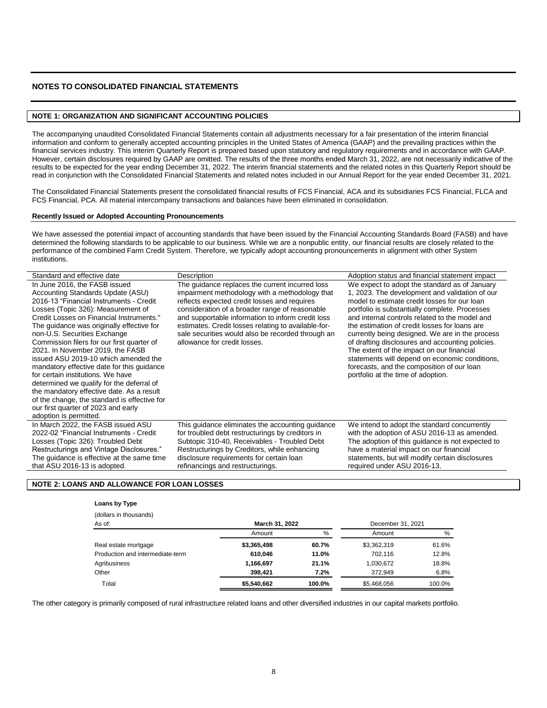# **NOTES TO CONSOLIDATED FINANCIAL STATEMENTS**

## **NOTE 1: ORGANIZATION AND SIGNIFICANT ACCOUNTING POLICIES**

The accompanying unaudited Consolidated Financial Statements contain all adjustments necessary for a fair presentation of the interim financial information and conform to generally accepted accounting principles in the United States of America (GAAP) and the prevailing practices within the financial services industry. This interim Quarterly Report is prepared based upon statutory and regulatory requirements and in accordance with GAAP. However, certain disclosures required by GAAP are omitted. The results of the three months ended March 31, 2022, are not necessarily indicative of the results to be expected for the year ending December 31, 2022. The interim financial statements and the related notes in this Quarterly Report should be read in conjunction with the Consolidated Financial Statements and related notes included in our Annual Report for the year ended December 31, 2021.

The Consolidated Financial Statements present the consolidated financial results of FCS Financial, ACA and its subsidiaries FCS Financial, FLCA and FCS Financial, PCA. All material intercompany transactions and balances have been eliminated in consolidation.

### **Recently Issued or Adopted Accounting Pronouncements**

We have assessed the potential impact of accounting standards that have been issued by the Financial Accounting Standards Board (FASB) and have determined the following standards to be applicable to our business. While we are a nonpublic entity, our financial results are closely related to the performance of the combined Farm Credit System. Therefore, we typically adopt accounting pronouncements in alignment with other System institutions.

| Standard and effective date                                                                                                                                                                                                                                                                                                                                                                                                                                                                                                                                                                                                                                                                          | Description                                                                                                                                                                                                                                                                                                                                                                                          | Adoption status and financial statement impact                                                                                                                                                                                                                                                                                                                                                                                                                                                                                                                                                 |
|------------------------------------------------------------------------------------------------------------------------------------------------------------------------------------------------------------------------------------------------------------------------------------------------------------------------------------------------------------------------------------------------------------------------------------------------------------------------------------------------------------------------------------------------------------------------------------------------------------------------------------------------------------------------------------------------------|------------------------------------------------------------------------------------------------------------------------------------------------------------------------------------------------------------------------------------------------------------------------------------------------------------------------------------------------------------------------------------------------------|------------------------------------------------------------------------------------------------------------------------------------------------------------------------------------------------------------------------------------------------------------------------------------------------------------------------------------------------------------------------------------------------------------------------------------------------------------------------------------------------------------------------------------------------------------------------------------------------|
| In June 2016, the FASB issued<br>Accounting Standards Update (ASU)<br>2016-13 "Financial Instruments - Credit<br>Losses (Topic 326): Measurement of<br>Credit Losses on Financial Instruments."<br>The guidance was originally effective for<br>non-U.S. Securities Exchange<br>Commission filers for our first quarter of<br>2021. In November 2019, the FASB<br>issued ASU 2019-10 which amended the<br>mandatory effective date for this quidance<br>for certain institutions. We have<br>determined we qualify for the deferral of<br>the mandatory effective date. As a result<br>of the change, the standard is effective for<br>our first quarter of 2023 and early<br>adoption is permitted. | The guidance replaces the current incurred loss<br>impairment methodology with a methodology that<br>reflects expected credit losses and requires<br>consideration of a broader range of reasonable<br>and supportable information to inform credit loss<br>estimates. Credit losses relating to available-for-<br>sale securities would also be recorded through an<br>allowance for credit losses. | We expect to adopt the standard as of January<br>1, 2023. The development and validation of our<br>model to estimate credit losses for our loan<br>portfolio is substantially complete. Processes<br>and internal controls related to the model and<br>the estimation of credit losses for loans are<br>currently being designed. We are in the process<br>of drafting disclosures and accounting policies.<br>The extent of the impact on our financial<br>statements will depend on economic conditions,<br>forecasts, and the composition of our loan<br>portfolio at the time of adoption. |
| In March 2022, the FASB issued ASU<br>2022-02 "Financial Instruments - Credit<br>Losses (Topic 326): Troubled Debt<br>Restructurings and Vintage Disclosures."<br>The guidance is effective at the same time<br>that ASU 2016-13 is adopted.                                                                                                                                                                                                                                                                                                                                                                                                                                                         | This quidance eliminates the accounting quidance<br>for troubled debt restructurings by creditors in<br>Subtopic 310-40, Receivables - Troubled Debt<br>Restructurings by Creditors, while enhancing<br>disclosure requirements for certain loan<br>refinancings and restructurings.                                                                                                                 | We intend to adopt the standard concurrently<br>with the adoption of ASU 2016-13 as amended.<br>The adoption of this quidance is not expected to<br>have a material impact on our financial<br>statements, but will modify certain disclosures<br>required under ASU 2016-13.                                                                                                                                                                                                                                                                                                                  |

## **NOTE 2: LOANS AND ALLOWANCE FOR LOAN LOSSES**

### **Loans by Type**

| (dollars in thousands)           |                |        |                   |        |
|----------------------------------|----------------|--------|-------------------|--------|
| As of:                           | March 31, 2022 |        | December 31, 2021 |        |
|                                  | Amount         | %      | Amount            | %      |
| Real estate mortgage             | \$3,365,498    | 60.7%  | \$3,362,319       | 61.6%  |
| Production and intermediate-term | 610.046        | 11.0%  | 702.116           | 12.8%  |
| Agribusiness                     | 1,166,697      | 21.1%  | 1,030,672         | 18.8%  |
| Other                            | 398.421        | 7.2%   | 372.949           | 6.8%   |
| Total                            | \$5,540,662    | 100.0% | \$5.468.056       | 100.0% |

The other category is primarily composed of rural infrastructure related loans and other diversified industries in our capital markets portfolio.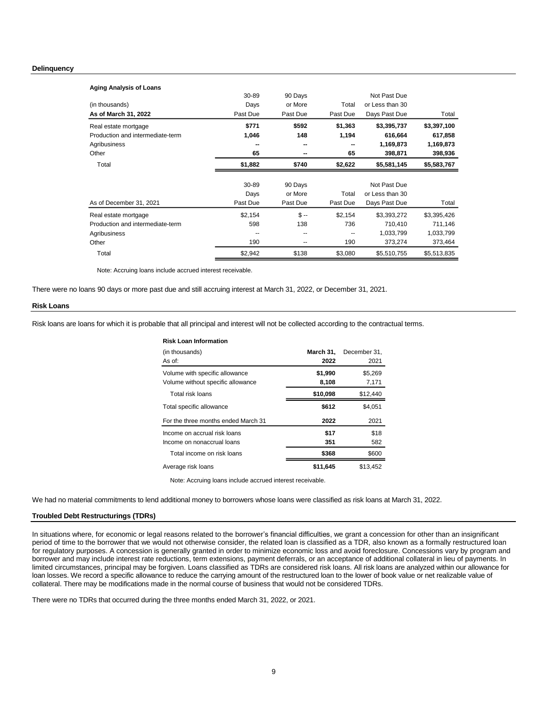### **Delinquency**

| <b>Aging Analysis of Loans</b>   |          |          |          |                 |             |
|----------------------------------|----------|----------|----------|-----------------|-------------|
|                                  | 30-89    | 90 Days  |          | Not Past Due    |             |
| (in thousands)                   | Days     | or More  | Total    | or Less than 30 |             |
| As of March 31, 2022             | Past Due | Past Due | Past Due | Days Past Due   | Total       |
| Real estate mortgage             | \$771    | \$592    | \$1,363  | \$3,395,737     | \$3,397,100 |
| Production and intermediate-term | 1,046    | 148      | 1,194    | 616,664         | 617,858     |
| Agribusiness                     | --       |          |          | 1,169,873       | 1,169,873   |
| Other                            | 65       | --       | 65       | 398,871         | 398,936     |
| Total                            | \$1,882  | \$740    | \$2,622  | \$5,581,145     | \$5,583,767 |
|                                  |          |          |          |                 |             |
|                                  |          |          |          |                 |             |
|                                  | 30-89    | 90 Days  |          | Not Past Due    |             |
|                                  | Days     | or More  | Total    | or Less than 30 |             |
| As of December 31, 2021          | Past Due | Past Due | Past Due | Days Past Due   | Total       |
| Real estate mortgage             | \$2,154  | $S -$    | \$2,154  | \$3,393,272     | \$3,395,426 |
| Production and intermediate-term | 598      | 138      | 736      | 710,410         | 711,146     |
| Agribusiness                     | --       | --       |          | 1,033,799       | 1,033,799   |
| Other                            | 190      | --       | 190      | 373,274         | 373,464     |

Note: Accruing loans include accrued interest receivable.

There were no loans 90 days or more past due and still accruing interest at March 31, 2022, or December 31, 2021.

### **Risk Loans**

Risk loans are loans for which it is probable that all principal and interest will not be collected according to the contractual terms.

### **Risk Loan Information**

| (in thousands)<br>As of:                                            | March 31.<br>2022 | December 31.<br>2021 |
|---------------------------------------------------------------------|-------------------|----------------------|
| Volume with specific allowance<br>Volume without specific allowance | \$1,990<br>8,108  | \$5,269<br>7,171     |
| Total risk loans                                                    | \$10,098          | \$12,440             |
| Total specific allowance                                            | \$612             | \$4,051              |
| For the three months ended March 31                                 | 2022              | 2021                 |
| Income on accrual risk loans                                        | \$17              | \$18                 |
| Income on nonaccrual loans                                          | 351               | 582                  |
| Total income on risk loans                                          | \$368             | \$600                |
| Average risk loans                                                  | \$11,645          | \$13,452             |

Note: Accruing loans include accrued interest receivable.

We had no material commitments to lend additional money to borrowers whose loans were classified as risk loans at March 31, 2022.

## **Troubled Debt Restructurings (TDRs)**

In situations where, for economic or legal reasons related to the borrower's financial difficulties, we grant a concession for other than an insignificant period of time to the borrower that we would not otherwise consider, the related loan is classified as a TDR, also known as a formally restructured loan for regulatory purposes. A concession is generally granted in order to minimize economic loss and avoid foreclosure. Concessions vary by program and borrower and may include interest rate reductions, term extensions, payment deferrals, or an acceptance of additional collateral in lieu of payments. In limited circumstances, principal may be forgiven. Loans classified as TDRs are considered risk loans. All risk loans are analyzed within our allowance for loan losses. We record a specific allowance to reduce the carrying amount of the restructured loan to the lower of book value or net realizable value of collateral. There may be modifications made in the normal course of business that would not be considered TDRs.

There were no TDRs that occurred during the three months ended March 31, 2022, or 2021.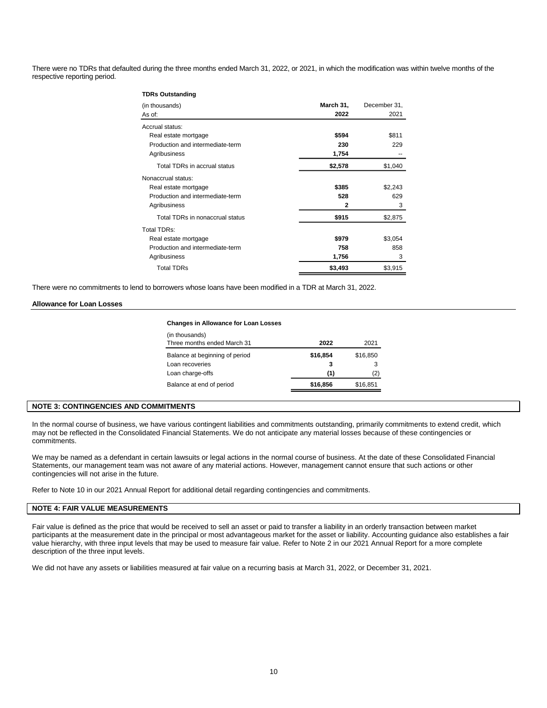There were no TDRs that defaulted during the three months ended March 31, 2022, or 2021, in which the modification was within twelve months of the respective reporting period.

| <b>TDRs Outstanding</b>          |              |              |  |
|----------------------------------|--------------|--------------|--|
| (in thousands)                   | March 31,    | December 31, |  |
| As of:                           | 2022         | 2021         |  |
| Accrual status:                  |              |              |  |
| Real estate mortgage             | \$594        | \$811        |  |
| Production and intermediate-term | 230          | 229          |  |
| Agribusiness                     | 1,754        |              |  |
| Total TDRs in accrual status     | \$2,578      | \$1,040      |  |
| Nonaccrual status:               |              |              |  |
| Real estate mortgage             | \$385        | \$2,243      |  |
| Production and intermediate-term | 528          | 629          |  |
| Agribusiness                     | $\mathbf{2}$ | 3            |  |
| Total TDRs in nonaccrual status  | \$915        | \$2,875      |  |
| Total TDRs:                      |              |              |  |
| Real estate mortgage             | \$979        | \$3,054      |  |
| Production and intermediate-term | 758          | 858          |  |
| Agribusiness                     | 1,756        | 3            |  |
| <b>Total TDRs</b>                | \$3,493      | \$3,915      |  |

There were no commitments to lend to borrowers whose loans have been modified in a TDR at March 31, 2022.

### **Allowance for Loan Losses**

### **Changes in Allowance for Loan Losses**

| (in thousands)<br>Three months ended March 31     | 2022          | 2021          |
|---------------------------------------------------|---------------|---------------|
| Balance at beginning of period<br>Loan recoveries | \$16,854<br>3 | \$16,850<br>3 |
| Loan charge-offs                                  | (1)           | (2)           |
| Balance at end of period                          | \$16,856      | \$16,851      |

## **NOTE 3: CONTINGENCIES AND COMMITMENTS**

In the normal course of business, we have various contingent liabilities and commitments outstanding, primarily commitments to extend credit, which may not be reflected in the Consolidated Financial Statements. We do not anticipate any material losses because of these contingencies or commitments.

We may be named as a defendant in certain lawsuits or legal actions in the normal course of business. At the date of these Consolidated Financial Statements, our management team was not aware of any material actions. However, management cannot ensure that such actions or other contingencies will not arise in the future.

Refer to Note 10 in our 2021 Annual Report for additional detail regarding contingencies and commitments.

## **NOTE 4: FAIR VALUE MEASUREMENTS**

Fair value is defined as the price that would be received to sell an asset or paid to transfer a liability in an orderly transaction between market participants at the measurement date in the principal or most advantageous market for the asset or liability. Accounting guidance also establishes a fair value hierarchy, with three input levels that may be used to measure fair value. Refer to Note 2 in our 2021 Annual Report for a more complete description of the three input levels.

We did not have any assets or liabilities measured at fair value on a recurring basis at March 31, 2022, or December 31, 2021.